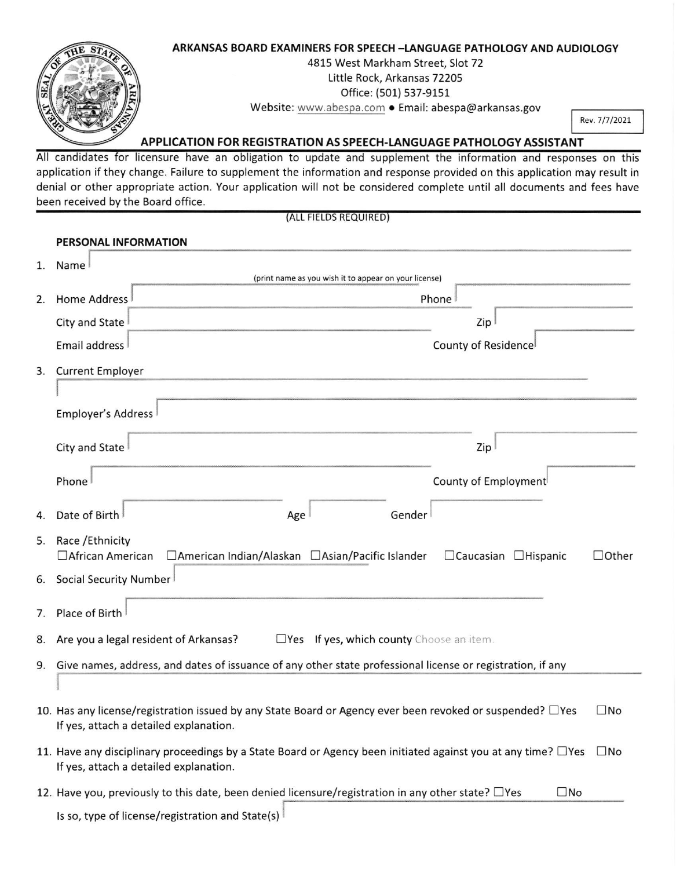

application if they change. Failure to supplement the information and response provided on this application may result in denial or other appropriate action. Your application will not be considered complete until all documents and fees have been received by the Board office.

|    | (ALL FIELDS REQUIRED)                                                                                                                                                         |  |  |  |  |
|----|-------------------------------------------------------------------------------------------------------------------------------------------------------------------------------|--|--|--|--|
|    | PERSONAL INFORMATION                                                                                                                                                          |  |  |  |  |
| 1. | Name                                                                                                                                                                          |  |  |  |  |
|    | (print name as you wish it to appear on your license)                                                                                                                         |  |  |  |  |
| 2. | <b>Home Address</b><br>Phone                                                                                                                                                  |  |  |  |  |
|    | City and State<br>Zip                                                                                                                                                         |  |  |  |  |
|    | Email address<br>County of Residence                                                                                                                                          |  |  |  |  |
|    | 3. Current Employer                                                                                                                                                           |  |  |  |  |
|    |                                                                                                                                                                               |  |  |  |  |
|    | Employer's Address                                                                                                                                                            |  |  |  |  |
|    | City and State<br>Zip                                                                                                                                                         |  |  |  |  |
|    | County of Employment<br>Phone                                                                                                                                                 |  |  |  |  |
| 4. | Date of Birth<br>Gender<br>Age                                                                                                                                                |  |  |  |  |
| 5. | Race / Ethnicity<br>□ American Indian/Alaskan □ Asian/Pacific Islander<br>$\Box$ Caucasian $\Box$ Hispanic<br>$\Box$ Other<br>□ African American                              |  |  |  |  |
| 6. | Social Security Number                                                                                                                                                        |  |  |  |  |
| 7. | Place of Birth                                                                                                                                                                |  |  |  |  |
| 8. | $\Box$ Yes If yes, which county Choose an item.<br>Are you a legal resident of Arkansas?                                                                                      |  |  |  |  |
|    | 9. Give names, address, and dates of issuance of any other state professional license or registration, if any                                                                 |  |  |  |  |
|    |                                                                                                                                                                               |  |  |  |  |
|    | 10. Has any license/registration issued by any State Board or Agency ever been revoked or suspended? □ Yes<br>$\square$ No<br>If yes, attach a detailed explanation.          |  |  |  |  |
|    | 11. Have any disciplinary proceedings by a State Board or Agency been initiated against you at any time? $\Box$ Yes<br>$\square$ No<br>If yes, attach a detailed explanation. |  |  |  |  |
|    | 12. Have you, previously to this date, been denied licensure/registration in any other state? □ Yes<br>$\square$ No                                                           |  |  |  |  |
|    | Is so, type of license/registration and State(s)                                                                                                                              |  |  |  |  |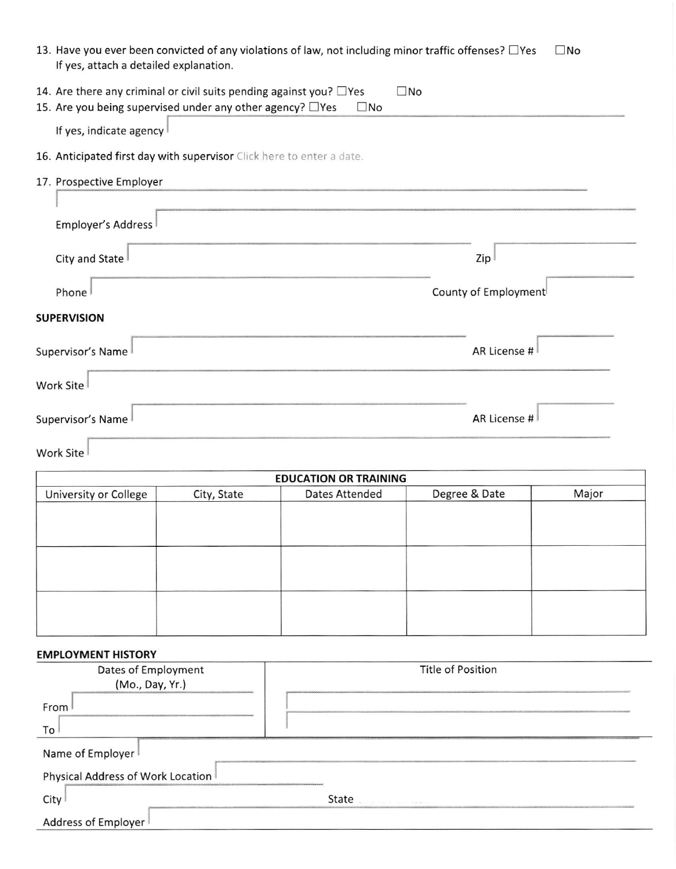| 13. Have you ever been convicted of any violations of law, not including minor traffic offenses? □ Yes<br>$\square$ No<br>If yes, attach a detailed explanation. |  |  |  |  |
|------------------------------------------------------------------------------------------------------------------------------------------------------------------|--|--|--|--|
| 14. Are there any criminal or civil suits pending against you? $\Box$ Yes<br>$\square$ No                                                                        |  |  |  |  |
| 15. Are you being supervised under any other agency? $\Box$ Yes<br>$\square$ No                                                                                  |  |  |  |  |
| If yes, indicate agency                                                                                                                                          |  |  |  |  |
| 16. Anticipated first day with supervisor Click here to enter a date.                                                                                            |  |  |  |  |
| 17. Prospective Employer                                                                                                                                         |  |  |  |  |
|                                                                                                                                                                  |  |  |  |  |
| <b>Employer's Address</b>                                                                                                                                        |  |  |  |  |
| City and State<br>Zip                                                                                                                                            |  |  |  |  |
| County of Employment<br>Phone                                                                                                                                    |  |  |  |  |
| <b>SUPERVISION</b>                                                                                                                                               |  |  |  |  |
| AR License #<br>Supervisor's Name                                                                                                                                |  |  |  |  |
| Work Site                                                                                                                                                        |  |  |  |  |
| AR License #<br>Supervisor's Name                                                                                                                                |  |  |  |  |

## Work Site

| <b>EDUCATION OR TRAINING</b> |             |                       |               |       |  |
|------------------------------|-------------|-----------------------|---------------|-------|--|
| University or College        | City, State | <b>Dates Attended</b> | Degree & Date | Major |  |
|                              |             |                       |               |       |  |
|                              |             |                       |               |       |  |
|                              |             |                       |               |       |  |
|                              |             |                       |               |       |  |
|                              |             |                       |               |       |  |
|                              |             |                       |               |       |  |
|                              |             |                       |               |       |  |
|                              |             |                       |               |       |  |
|                              |             |                       |               |       |  |

## EMPLOYMENT HISTORY

| Dates of Employment               | <b>Title of Position</b>        |  |  |  |  |
|-----------------------------------|---------------------------------|--|--|--|--|
| (Mo., Day, Yr.)                   |                                 |  |  |  |  |
| From I                            |                                 |  |  |  |  |
| To                                |                                 |  |  |  |  |
| Name of Employer                  |                                 |  |  |  |  |
| Physical Address of Work Location |                                 |  |  |  |  |
| City                              | State<br>what he is come showed |  |  |  |  |
| Address of Employer               |                                 |  |  |  |  |